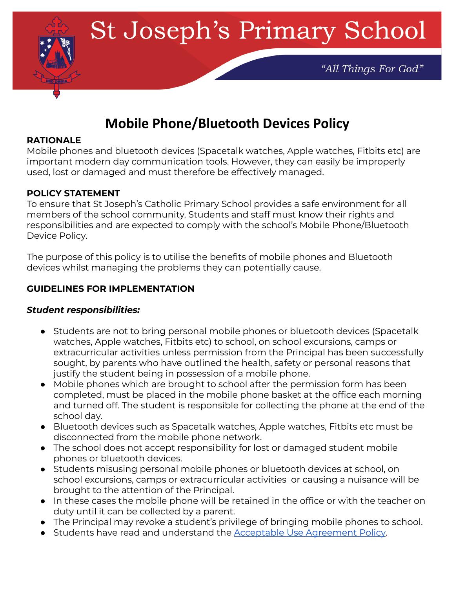

# **Mobile Phone/Bluetooth Devices Policy**

#### **RATIONALE**

Mobile phones and bluetooth devices (Spacetalk watches, Apple watches, Fitbits etc) are important modern day communication tools. However, they can easily be improperly used, lost or damaged and must therefore be effectively managed.

#### **POLICY STATEMENT**

To ensure that St Joseph's Catholic Primary School provides a safe environment for all members of the school community. Students and staff must know their rights and responsibilities and are expected to comply with the school's Mobile Phone/Bluetooth Device Policy.

The purpose of this policy is to utilise the benefits of mobile phones and Bluetooth devices whilst managing the problems they can potentially cause.

#### **GUIDELINES FOR IMPLEMENTATION**

#### *Student responsibilities:*

- Students are not to bring personal mobile phones or bluetooth devices (Spacetalk watches, Apple watches, Fitbits etc) to school, on school excursions, camps or extracurricular activities unless permission from the Principal has been successfully sought, by parents who have outlined the health, safety or personal reasons that justify the student being in possession of a mobile phone.
- Mobile phones which are brought to school after the permission form has been completed, must be placed in the mobile phone basket at the office each morning and turned off. The student is responsible for collecting the phone at the end of the school day.
- Bluetooth devices such as Spacetalk watches, Apple watches, Fitbits etc must be disconnected from the mobile phone network.
- The school does not accept responsibility for lost or damaged student mobile phones or bluetooth devices.
- Students misusing personal mobile phones or bluetooth devices at school, on school excursions, camps or extracurricular activities or causing a nuisance will be brought to the attention of the Principal.
- In these cases the mobile phone will be retained in the office or with the teacher on duty until it can be collected by a parent.
- The Principal may revoke a student's privilege of bringing mobile phones to school.
- Students have read and understand the Acceptable Use [Agreement](https://drive.google.com/file/d/1_Cy5cZ6VqPRnUHNXfLplWwF-kHwa0YLQ/view) Policy.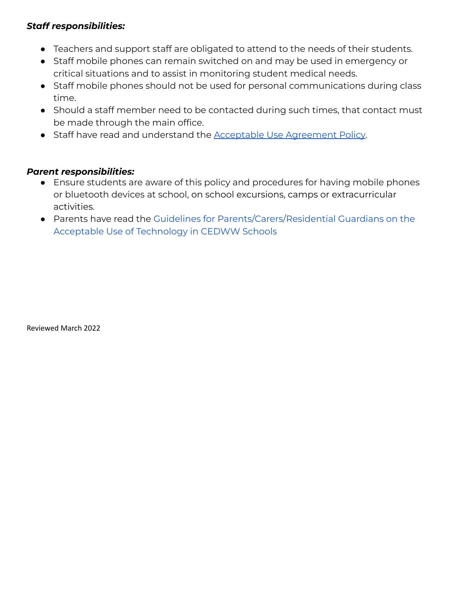## *Staff responsibilities:*

- Teachers and support staff are obligated to attend to the needs of their students.
- Staff mobile phones can remain switched on and may be used in emergency or critical situations and to assist in monitoring student medical needs.
- Staff mobile phones should not be used for personal communications during class time.
- Should a staff member need to be contacted during such times, that contact must be made through the main office.
- Staff have read and understand the **Acceptable Use [Agreement](https://drive.google.com/file/d/1_Cy5cZ6VqPRnUHNXfLplWwF-kHwa0YLQ/view) Policy**.

### *Parent responsibilities:*

- Ensure students are aware of this policy and procedures for having mobile phones or bluetooth devices at school, on school excursions, camps or extracurricular activities.
- Parents have read the Guidelines for [Parents/Carers/Residential](https://drive.google.com/file/d/1YzxyscULRVNtPMCx_-0WAi4mi1Di46bs/view) Guardians on the Acceptable Use of [Technology](https://drive.google.com/file/d/1YzxyscULRVNtPMCx_-0WAi4mi1Di46bs/view) in CEDWW Schools

Reviewed March 2022